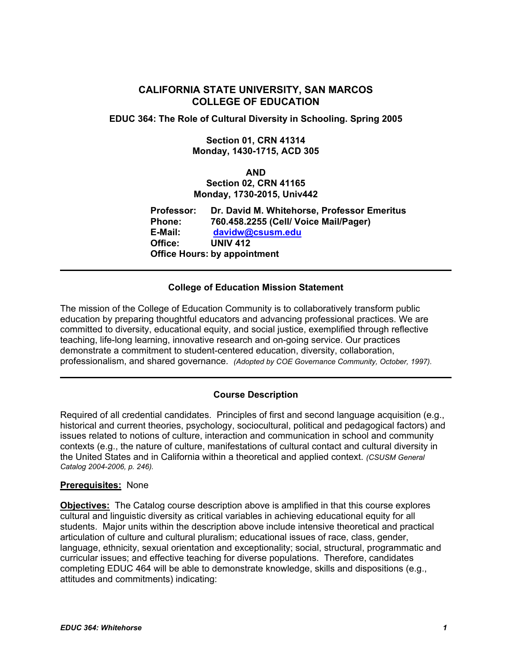# **CALIFORNIA STATE UNIVERSITY, SAN MARCOS COLLEGE OF EDUCATION**

**EDUC 364: The Role of Cultural Diversity in Schooling. Spring 2005** 

## **Section 01, CRN 41314 Monday, 1430-1715, ACD 305**

#### **AND**

# **Section 02, CRN 41165 Monday, 1730-2015, Univ442**

**Professor: Dr. David M. Whitehorse, Professor Emeritus Phone: 760.458.2255 (Cell/ Voice Mail/Pager) E-Mail: davidw@csusm.edu Office: UNIV 412 Office Hours: by appointment** 

# **College of Education Mission Statement**

The mission of the College of Education Community is to collaboratively transform public education by preparing thoughtful educators and advancing professional practices. We are committed to diversity, educational equity, and social justice, exemplified through reflective teaching, life-long learning, innovative research and on-going service. Our practices demonstrate a commitment to student-centered education, diversity, collaboration, professionalism, and shared governance. *(Adopted by COE Governance Community, October, 1997).* 

# **Course Description**

Required of all credential candidates. Principles of first and second language acquisition (e.g., historical and current theories, psychology, sociocultural, political and pedagogical factors) and issues related to notions of culture, interaction and communication in school and community contexts (e.g., the nature of culture, manifestations of cultural contact and cultural diversity in the United States and in California within a theoretical and applied context. *(CSUSM General Catalog 2004-2006, p. 246).* 

## **Prerequisites:** None

**Objectives:** The Catalog course description above is amplified in that this course explores cultural and linguistic diversity as critical variables in achieving educational equity for all students. Major units within the description above include intensive theoretical and practical articulation of culture and cultural pluralism; educational issues of race, class, gender, language, ethnicity, sexual orientation and exceptionality; social, structural, programmatic and curricular issues; and effective teaching for diverse populations. Therefore, candidates completing EDUC 464 will be able to demonstrate knowledge, skills and dispositions (e.g., attitudes and commitments) indicating: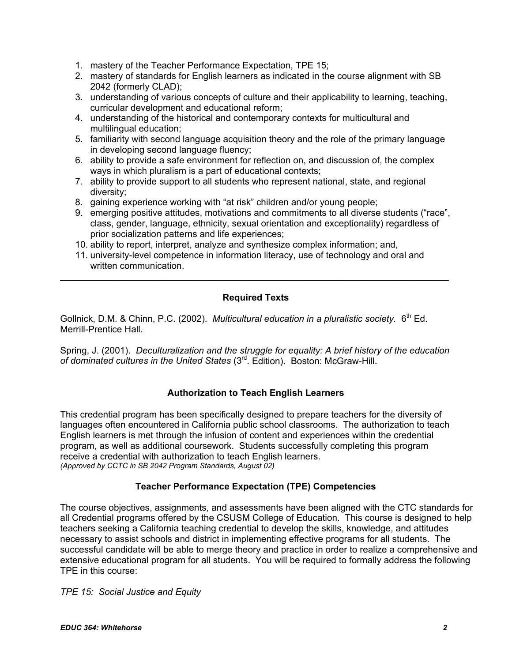- 1. mastery of the Teacher Performance Expectation, TPE 15;
- 2. mastery of standards for English learners as indicated in the course alignment with SB 2042 (formerly CLAD);
- 3. understanding of various concepts of culture and their applicability to learning, teaching, curricular development and educational reform;
- 4. understanding of the historical and contemporary contexts for multicultural and multilingual education;
- 5. familiarity with second language acquisition theory and the role of the primary language in developing second language fluency;
- 6. ability to provide a safe environment for reflection on, and discussion of, the complex ways in which pluralism is a part of educational contexts;
- 7. ability to provide support to all students who represent national, state, and regional diversity;
- 8. gaining experience working with "at risk" children and/or young people;
- 9. emerging positive attitudes, motivations and commitments to all diverse students ("race", class, gender, language, ethnicity, sexual orientation and exceptionality) regardless of prior socialization patterns and life experiences;
- 10. ability to report, interpret, analyze and synthesize complex information; and,
- 11. university-level competence in information literacy, use of technology and oral and written communication.

## **Required Texts**

\_\_\_\_\_\_\_\_\_\_\_\_\_\_\_\_\_\_\_\_\_\_\_\_\_\_\_\_\_\_\_\_\_\_\_\_\_\_\_\_\_\_\_\_\_\_\_\_\_\_\_\_\_\_\_\_\_\_\_\_\_\_\_\_\_\_\_\_\_\_\_\_\_\_\_\_

Gollnick, D.M. & Chinn, P.C. (2002). *Multicultural education in a pluralistic society.* 6<sup>th</sup> Ed. Merrill-Prentice Hall.

Spring, J. (2001). *Deculturalization and the struggle for equality: A brief history of the education of dominated cultures in the United States* (3rd. Edition). Boston: McGraw-Hill.

## **Authorization to Teach English Learners**

This credential program has been specifically designed to prepare teachers for the diversity of languages often encountered in California public school classrooms. The authorization to teach English learners is met through the infusion of content and experiences within the credential program, as well as additional coursework. Students successfully completing this program receive a credential with authorization to teach English learners. *(Approved by CCTC in SB 2042 Program Standards, August 02)*

# **Teacher Performance Expectation (TPE) Competencies**

The course objectives, assignments, and assessments have been aligned with the CTC standards for all Credential programs offered by the CSUSM College of Education. This course is designed to help teachers seeking a California teaching credential to develop the skills, knowledge, and attitudes necessary to assist schools and district in implementing effective programs for all students. The successful candidate will be able to merge theory and practice in order to realize a comprehensive and extensive educational program for all students. You will be required to formally address the following TPE in this course:

*TPE 15: Social Justice and Equity*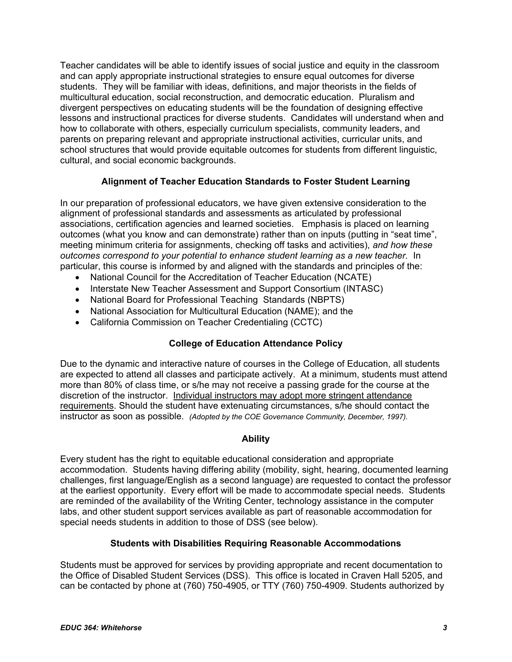Teacher candidates will be able to identify issues of social justice and equity in the classroom and can apply appropriate instructional strategies to ensure equal outcomes for diverse students. They will be familiar with ideas, definitions, and major theorists in the fields of multicultural education, social reconstruction, and democratic education. Pluralism and divergent perspectives on educating students will be the foundation of designing effective lessons and instructional practices for diverse students. Candidates will understand when and how to collaborate with others, especially curriculum specialists, community leaders, and parents on preparing relevant and appropriate instructional activities, curricular units, and school structures that would provide equitable outcomes for students from different linguistic, cultural, and social economic backgrounds.

# **Alignment of Teacher Education Standards to Foster Student Learning**

In our preparation of professional educators, we have given extensive consideration to the alignment of professional standards and assessments as articulated by professional associations, certification agencies and learned societies. Emphasis is placed on learning outcomes (what you know and can demonstrate) rather than on inputs (putting in "seat time", meeting minimum criteria for assignments, checking off tasks and activities), *and how these outcomes correspond to your potential to enhance student learning as a new teacher.* In particular, this course is informed by and aligned with the standards and principles of the:

- National Council for the Accreditation of Teacher Education (NCATE)
- Interstate New Teacher Assessment and Support Consortium (INTASC)
- National Board for Professional Teaching Standards (NBPTS)
- National Association for Multicultural Education (NAME); and the
- California Commission on Teacher Credentialing (CCTC)

# **College of Education Attendance Policy**

Due to the dynamic and interactive nature of courses in the College of Education, all students are expected to attend all classes and participate actively. At a minimum, students must attend more than 80% of class time, or s/he may not receive a passing grade for the course at the discretion of the instructor. Individual instructors may adopt more stringent attendance requirements. Should the student have extenuating circumstances, s/he should contact the instructor as soon as possible. *(Adopted by the COE Governance Community, December, 1997).*

# **Ability**

Every student has the right to equitable educational consideration and appropriate accommodation. Students having differing ability (mobility, sight, hearing, documented learning challenges, first language/English as a second language) are requested to contact the professor at the earliest opportunity. Every effort will be made to accommodate special needs. Students are reminded of the availability of the Writing Center, technology assistance in the computer labs, and other student support services available as part of reasonable accommodation for special needs students in addition to those of DSS (see below).

# **Students with Disabilities Requiring Reasonable Accommodations**

Students must be approved for services by providing appropriate and recent documentation to the Office of Disabled Student Services (DSS). This office is located in Craven Hall 5205, and can be contacted by phone at (760) 750-4905, or TTY (760) 750-4909. Students authorized by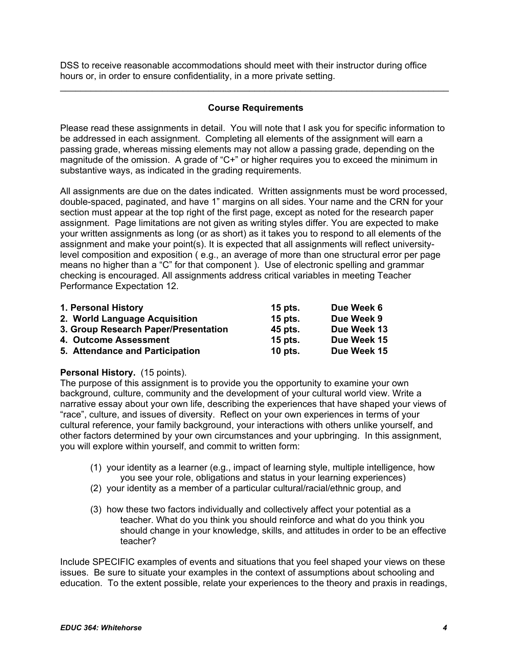DSS to receive reasonable accommodations should meet with their instructor during office hours or, in order to ensure confidentiality, in a more private setting.

## **Course Requirements**

\_\_\_\_\_\_\_\_\_\_\_\_\_\_\_\_\_\_\_\_\_\_\_\_\_\_\_\_\_\_\_\_\_\_\_\_\_\_\_\_\_\_\_\_\_\_\_\_\_\_\_\_\_\_\_\_\_\_\_\_\_\_\_\_\_\_\_\_\_\_\_\_\_\_\_\_

Please read these assignments in detail. You will note that I ask you for specific information to be addressed in each assignment. Completing all elements of the assignment will earn a passing grade, whereas missing elements may not allow a passing grade, depending on the magnitude of the omission. A grade of "C+" or higher requires you to exceed the minimum in substantive ways, as indicated in the grading requirements.

All assignments are due on the dates indicated. Written assignments must be word processed, double-spaced, paginated, and have 1" margins on all sides. Your name and the CRN for your section must appear at the top right of the first page, except as noted for the research paper assignment. Page limitations are not given as writing styles differ. You are expected to make your written assignments as long (or as short) as it takes you to respond to all elements of the assignment and make your point(s). It is expected that all assignments will reflect universitylevel composition and exposition ( e.g., an average of more than one structural error per page means no higher than a "C" for that component ). Use of electronic spelling and grammar checking is encouraged. All assignments address critical variables in meeting Teacher Performance Expectation 12.

| 1. Personal History                  | $15$ pts. | Due Week 6  |
|--------------------------------------|-----------|-------------|
| 2. World Language Acquisition        | 15 pts.   | Due Week 9  |
| 3. Group Research Paper/Presentation | 45 pts.   | Due Week 13 |
| 4. Outcome Assessment                | 15 pts.   | Due Week 15 |
| 5. Attendance and Participation      | $10$ pts. | Due Week 15 |

## **Personal History.** (15 points).

The purpose of this assignment is to provide you the opportunity to examine your own background, culture, community and the development of your cultural world view. Write a narrative essay about your own life, describing the experiences that have shaped your views of "race", culture, and issues of diversity. Reflect on your own experiences in terms of your cultural reference, your family background, your interactions with others unlike yourself, and other factors determined by your own circumstances and your upbringing. In this assignment, you will explore within yourself, and commit to written form:

- (1) your identity as a learner (e.g., impact of learning style, multiple intelligence, how you see your role, obligations and status in your learning experiences)
- (2) your identity as a member of a particular cultural/racial/ethnic group, and
- (3) how these two factors individually and collectively affect your potential as a teacher. What do you think you should reinforce and what do you think you should change in your knowledge, skills, and attitudes in order to be an effective teacher?

Include SPECIFIC examples of events and situations that you feel shaped your views on these issues. Be sure to situate your examples in the context of assumptions about schooling and education. To the extent possible, relate your experiences to the theory and praxis in readings,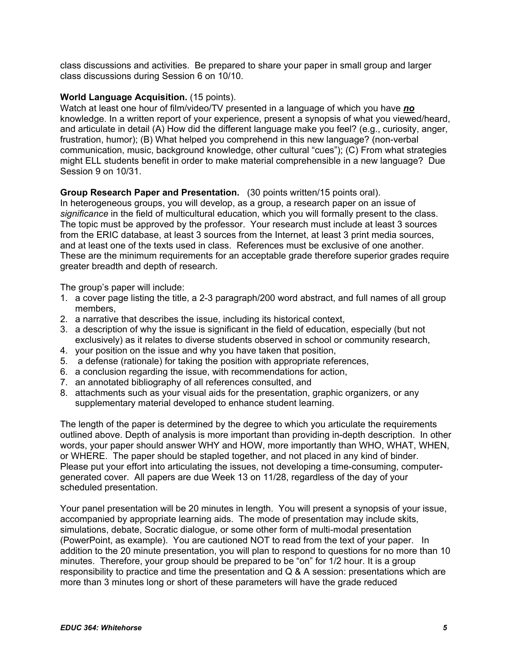class discussions and activities. Be prepared to share your paper in small group and larger class discussions during Session 6 on 10/10.

## **World Language Acquisition.** (15 points).

Watch at least one hour of film/video/TV presented in a language of which you have *no*  knowledge. In a written report of your experience, present a synopsis of what you viewed/heard, and articulate in detail (A) How did the different language make you feel? (e.g., curiosity, anger, frustration, humor); (B) What helped you comprehend in this new language? (non-verbal communication, music, background knowledge, other cultural "cues"); (C) From what strategies might ELL students benefit in order to make material comprehensible in a new language? Due Session 9 on 10/31.

## **Group Research Paper and Presentation.** (30 points written/15 points oral).

In heterogeneous groups, you will develop, as a group, a research paper on an issue of *significance* in the field of multicultural education, which you will formally present to the class. The topic must be approved by the professor. Your research must include at least 3 sources from the ERIC database, at least 3 sources from the Internet, at least 3 print media sources, and at least one of the texts used in class. References must be exclusive of one another. These are the minimum requirements for an acceptable grade therefore superior grades require greater breadth and depth of research.

The group's paper will include:

- 1. a cover page listing the title, a 2-3 paragraph/200 word abstract, and full names of all group members,
- 2. a narrative that describes the issue, including its historical context,
- 3. a description of why the issue is significant in the field of education, especially (but not exclusively) as it relates to diverse students observed in school or community research,
- 4. your position on the issue and why you have taken that position,
- 5. a defense (rationale) for taking the position with appropriate references,
- 6. a conclusion regarding the issue, with recommendations for action,
- 7. an annotated bibliography of all references consulted, and
- 8. attachments such as your visual aids for the presentation, graphic organizers, or any supplementary material developed to enhance student learning.

The length of the paper is determined by the degree to which you articulate the requirements outlined above. Depth of analysis is more important than providing in-depth description. In other words, your paper should answer WHY and HOW, more importantly than WHO, WHAT, WHEN, or WHERE. The paper should be stapled together, and not placed in any kind of binder. Please put your effort into articulating the issues, not developing a time-consuming, computergenerated cover. All papers are due Week 13 on 11/28, regardless of the day of your scheduled presentation.

Your panel presentation will be 20 minutes in length. You will present a synopsis of your issue, accompanied by appropriate learning aids. The mode of presentation may include skits, simulations, debate, Socratic dialogue, or some other form of multi-modal presentation (PowerPoint, as example). You are cautioned NOT to read from the text of your paper. In addition to the 20 minute presentation, you will plan to respond to questions for no more than 10 minutes. Therefore, your group should be prepared to be "on" for 1/2 hour. It is a group responsibility to practice and time the presentation and Q & A session: presentations which are more than 3 minutes long or short of these parameters will have the grade reduced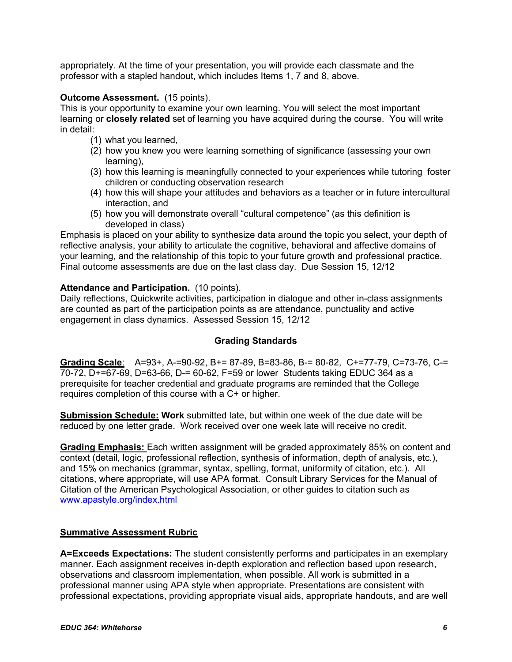appropriately. At the time of your presentation, you will provide each classmate and the professor with a stapled handout, which includes Items 1, 7 and 8, above.

## **Outcome Assessment.** (15 points).

This is your opportunity to examine your own learning. You will select the most important learning or **closely related** set of learning you have acquired during the course. You will write in detail:

- (1) what you learned,
- (2) how you knew you were learning something of significance (assessing your own learning),
- (3) how this learning is meaningfully connected to your experiences while tutoring foster children or conducting observation research
- (4) how this will shape your attitudes and behaviors as a teacher or in future intercultural interaction, and
- (5) how you will demonstrate overall "cultural competence" (as this definition is developed in class)

Emphasis is placed on your ability to synthesize data around the topic you select, your depth of reflective analysis, your ability to articulate the cognitive, behavioral and affective domains of your learning, and the relationship of this topic to your future growth and professional practice. Final outcome assessments are due on the last class day. Due Session 15, 12/12

## **Attendance and Participation.** (10 points).

Daily reflections, Quickwrite activities, participation in dialogue and other in-class assignments are counted as part of the participation points as are attendance, punctuality and active engagement in class dynamics. Assessed Session 15, 12/12

# **Grading Standards**

**Grading Scale**: A=93+, A-=90-92, B+= 87-89, B=83-86, B-= 80-82, C+=77-79, C=73-76, C-= 70-72, D+=67-69, D=63-66, D-= 60-62, F=59 or lower Students taking EDUC 364 as a prerequisite for teacher credential and graduate programs are reminded that the College requires completion of this course with a C+ or higher.

**Submission Schedule: Work** submitted late, but within one week of the due date will be reduced by one letter grade. Work received over one week late will receive no credit.

**Grading Emphasis:** Each written assignment will be graded approximately 85% on content and context (detail, logic, professional reflection, synthesis of information, depth of analysis, etc.), and 15% on mechanics (grammar, syntax, spelling, format, uniformity of citation, etc.). All citations, where appropriate, will use APA format. Consult Library Services for the Manual of Citation of the American Psychological Association, or other guides to citation such as www.apastyle.org/index.html

## **Summative Assessment Rubric**

**A=Exceeds Expectations:** The student consistently performs and participates in an exemplary manner. Each assignment receives in-depth exploration and reflection based upon research, observations and classroom implementation, when possible. All work is submitted in a professional manner using APA style when appropriate. Presentations are consistent with professional expectations, providing appropriate visual aids, appropriate handouts, and are well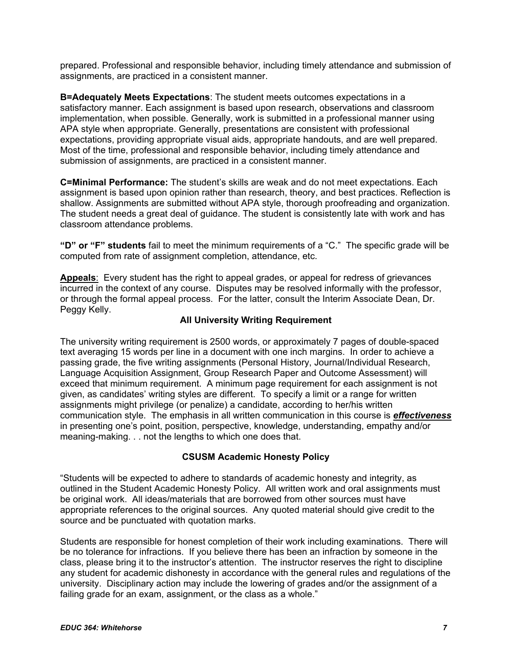prepared. Professional and responsible behavior, including timely attendance and submission of assignments, are practiced in a consistent manner.

**B=Adequately Meets Expectations**: The student meets outcomes expectations in a satisfactory manner. Each assignment is based upon research, observations and classroom implementation, when possible. Generally, work is submitted in a professional manner using APA style when appropriate. Generally, presentations are consistent with professional expectations, providing appropriate visual aids, appropriate handouts, and are well prepared. Most of the time, professional and responsible behavior, including timely attendance and submission of assignments, are practiced in a consistent manner.

**C=Minimal Performance:** The student's skills are weak and do not meet expectations. Each assignment is based upon opinion rather than research, theory, and best practices. Reflection is shallow. Assignments are submitted without APA style, thorough proofreading and organization. The student needs a great deal of guidance. The student is consistently late with work and has classroom attendance problems.

**"D" or "F" students** fail to meet the minimum requirements of a "C." The specific grade will be computed from rate of assignment completion, attendance, etc.

Appeals: Every student has the right to appeal grades, or appeal for redress of grievances incurred in the context of any course. Disputes may be resolved informally with the professor, or through the formal appeal process. For the latter, consult the Interim Associate Dean, Dr. Peggy Kelly.

## **All University Writing Requirement**

The university writing requirement is 2500 words, or approximately 7 pages of double-spaced text averaging 15 words per line in a document with one inch margins. In order to achieve a passing grade, the five writing assignments (Personal History, Journal/Individual Research, Language Acquisition Assignment, Group Research Paper and Outcome Assessment) will exceed that minimum requirement. A minimum page requirement for each assignment is not given, as candidates' writing styles are different. To specify a limit or a range for written assignments might privilege (or penalize) a candidate, according to her/his written communication style. The emphasis in all written communication in this course is *effectiveness*  in presenting one's point, position, perspective, knowledge, understanding, empathy and/or meaning-making. . . not the lengths to which one does that.

# **CSUSM Academic Honesty Policy**

"Students will be expected to adhere to standards of academic honesty and integrity, as outlined in the Student Academic Honesty Policy. All written work and oral assignments must be original work. All ideas/materials that are borrowed from other sources must have appropriate references to the original sources. Any quoted material should give credit to the source and be punctuated with quotation marks.

Students are responsible for honest completion of their work including examinations. There will be no tolerance for infractions. If you believe there has been an infraction by someone in the class, please bring it to the instructor's attention. The instructor reserves the right to discipline any student for academic dishonesty in accordance with the general rules and regulations of the university. Disciplinary action may include the lowering of grades and/or the assignment of a failing grade for an exam, assignment, or the class as a whole."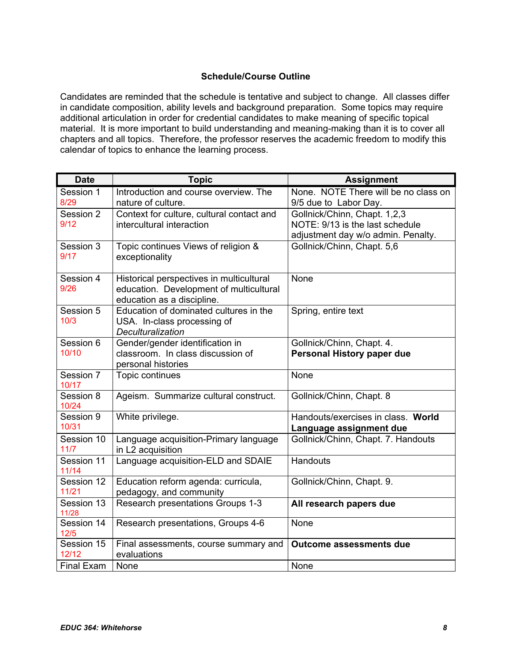# **Schedule/Course Outline**

Candidates are reminded that the schedule is tentative and subject to change. All classes differ in candidate composition, ability levels and background preparation. Some topics may require additional articulation in order for credential candidates to make meaning of specific topical material. It is more important to build understanding and meaning-making than it is to cover all chapters and all topics. Therefore, the professor reserves the academic freedom to modify this calendar of topics to enhance the learning process.

| <b>Date</b>          | <b>Topic</b>                                                                                                      | <b>Assignment</b>                                                                                     |
|----------------------|-------------------------------------------------------------------------------------------------------------------|-------------------------------------------------------------------------------------------------------|
| Session 1<br>8/29    | Introduction and course overview. The<br>nature of culture.                                                       | None. NOTE There will be no class on<br>9/5 due to Labor Day.                                         |
| Session 2<br>9/12    | Context for culture, cultural contact and<br>intercultural interaction                                            | Gollnick/Chinn, Chapt. 1,2,3<br>NOTE: 9/13 is the last schedule<br>adjustment day w/o admin. Penalty. |
| Session 3<br>9/17    | Topic continues Views of religion &<br>exceptionality                                                             | Gollnick/Chinn, Chapt. 5,6                                                                            |
| Session 4<br>9/26    | Historical perspectives in multicultural<br>education. Development of multicultural<br>education as a discipline. | None                                                                                                  |
| Session 5<br>10/3    | Education of dominated cultures in the<br>USA. In-class processing of<br>Deculturalization                        | Spring, entire text                                                                                   |
| Session 6<br>10/10   | Gender/gender identification in<br>classroom. In class discussion of<br>personal histories                        | Gollnick/Chinn, Chapt. 4.<br>Personal History paper due                                               |
| Session 7<br>10/17   | Topic continues                                                                                                   | None                                                                                                  |
| Session 8<br>10/24   | Ageism. Summarize cultural construct.                                                                             | Gollnick/Chinn, Chapt. 8                                                                              |
| Session 9<br>10/31   | White privilege.                                                                                                  | Handouts/exercises in class. World<br>Language assignment due                                         |
| Session 10<br>$11/7$ | Language acquisition-Primary language<br>in L2 acquisition                                                        | Gollnick/Chinn, Chapt. 7. Handouts                                                                    |
| Session 11<br>11/14  | Language acquisition-ELD and SDAIE                                                                                | Handouts                                                                                              |
| Session 12<br>11/21  | Education reform agenda: curricula,<br>pedagogy, and community                                                    | Gollnick/Chinn, Chapt. 9.                                                                             |
| Session 13<br>11/28  | Research presentations Groups 1-3                                                                                 | All research papers due                                                                               |
| Session 14<br>12/5   | Research presentations, Groups 4-6                                                                                | None                                                                                                  |
| Session 15<br>12/12  | Final assessments, course summary and<br>evaluations                                                              | <b>Outcome assessments due</b>                                                                        |
| <b>Final Exam</b>    | None                                                                                                              | None                                                                                                  |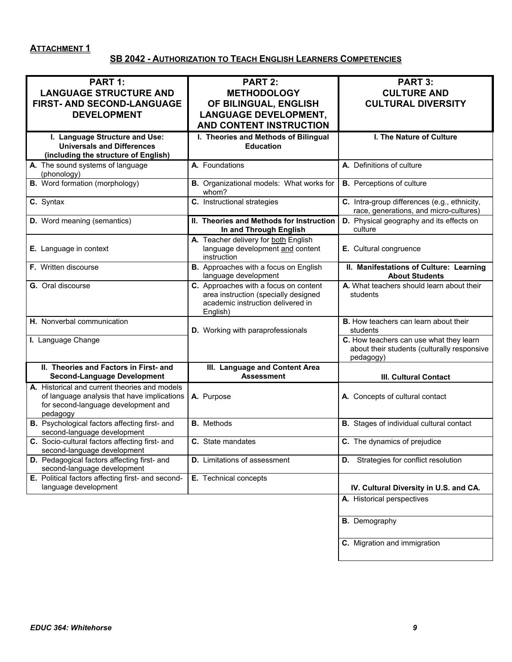# **ATTACHMENT 1**

# **SB 2042 - AUTHORIZATION TO TEACH ENGLISH LEARNERS COMPETENCIES**

| <b>PART 1:</b><br><b>LANGUAGE STRUCTURE AND</b>                                                                                                 | <b>PART 2:</b><br><b>METHODOLOGY</b>                                                                                           | <b>PART 3:</b><br><b>CULTURE AND</b>                                                                |
|-------------------------------------------------------------------------------------------------------------------------------------------------|--------------------------------------------------------------------------------------------------------------------------------|-----------------------------------------------------------------------------------------------------|
| FIRST- AND SECOND-LANGUAGE<br><b>DEVELOPMENT</b>                                                                                                | OF BILINGUAL, ENGLISH<br><b>LANGUAGE DEVELOPMENT,</b><br><b>AND CONTENT INSTRUCTION</b>                                        | <b>CULTURAL DIVERSITY</b>                                                                           |
|                                                                                                                                                 |                                                                                                                                | I. The Nature of Culture                                                                            |
| I. Language Structure and Use:<br><b>Universals and Differences</b><br>(including the structure of English)                                     | I. Theories and Methods of Bilingual<br><b>Education</b>                                                                       |                                                                                                     |
| A. The sound systems of language<br>(phonology)                                                                                                 | A. Foundations                                                                                                                 | A. Definitions of culture                                                                           |
| <b>B.</b> Word formation (morphology)                                                                                                           | B. Organizational models: What works for<br>whom?                                                                              | <b>B.</b> Perceptions of culture                                                                    |
| C. Syntax                                                                                                                                       | C. Instructional strategies                                                                                                    | C. Intra-group differences (e.g., ethnicity,<br>race, generations, and micro-cultures)              |
| D. Word meaning (semantics)                                                                                                                     | II. Theories and Methods for Instruction<br>In and Through English                                                             | D. Physical geography and its effects on<br>culture                                                 |
| E. Language in context                                                                                                                          | A. Teacher delivery for both English<br>language development and content<br>instruction                                        | E. Cultural congruence                                                                              |
| F. Written discourse                                                                                                                            | B. Approaches with a focus on English<br>language development                                                                  | II. Manifestations of Culture: Learning<br><b>About Students</b>                                    |
| G. Oral discourse                                                                                                                               | C. Approaches with a focus on content<br>area instruction (specially designed<br>academic instruction delivered in<br>English) | A. What teachers should learn about their<br>students                                               |
| H. Nonverbal communication                                                                                                                      | D. Working with paraprofessionals                                                                                              | <b>B.</b> How teachers can learn about their<br>students                                            |
| I. Language Change                                                                                                                              |                                                                                                                                | C. How teachers can use what they learn<br>about their students (culturally responsive<br>pedagogy) |
| II. Theories and Factors in First- and<br><b>Second-Language Development</b>                                                                    | III. Language and Content Area<br><b>Assessment</b>                                                                            | <b>III. Cultural Contact</b>                                                                        |
| A. Historical and current theories and models<br>of language analysis that have implications<br>for second-language development and<br>pedagogy | A. Purpose                                                                                                                     | A. Concepts of cultural contact                                                                     |
| <b>B.</b> Psychological factors affecting first- and<br>second-language development                                                             | <b>B.</b> Methods                                                                                                              | <b>B.</b> Stages of individual cultural contact                                                     |
| C. Socio-cultural factors affecting first- and<br>second-language development                                                                   | C. State mandates                                                                                                              | C. The dynamics of prejudice                                                                        |
| D. Pedagogical factors affecting first- and<br>second-language development                                                                      | <b>D.</b> Limitations of assessment                                                                                            | <b>D.</b> Strategies for conflict resolution                                                        |
| E. Political factors affecting first- and second-<br>language development                                                                       | E. Technical concepts                                                                                                          | IV. Cultural Diversity in U.S. and CA.                                                              |
|                                                                                                                                                 |                                                                                                                                | A. Historical perspectives                                                                          |
|                                                                                                                                                 |                                                                                                                                | <b>B.</b> Demography                                                                                |
|                                                                                                                                                 |                                                                                                                                | C. Migration and immigration                                                                        |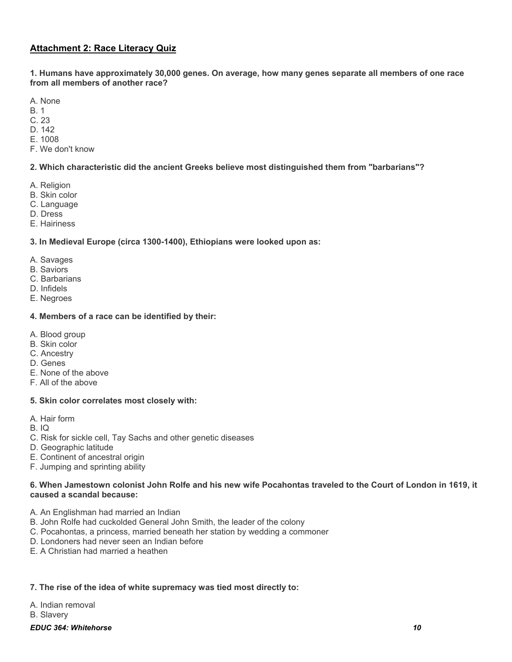# **Attachment 2: Race Literacy Quiz**

**1. Humans have approximately 30,000 genes. On average, how many genes separate all members of one race from all members of another race?**

A. None

- B. 1
- C. 23
- D. 142
- E. 1008
- F. We don't know

**2. Which characteristic did the ancient Greeks believe most distinguished them from "barbarians"?**

- A. Religion
- B. Skin color
- C. Language
- D. Dress
- E. Hairiness

**3. In Medieval Europe (circa 1300-1400), Ethiopians were looked upon as:** 

- A. Savages
- B. Saviors
- C. Barbarians
- D. Infidels
- E. Negroes

## **4. Members of a race can be identified by their:**

- A. Blood group
- B. Skin color
- C. Ancestry
- D. Genes
- E. None of the above
- F. All of the above

#### **5. Skin color correlates most closely with:**

- A. Hair form
- B. IQ
- C. Risk for sickle cell, Tay Sachs and other genetic diseases
- D. Geographic latitude
- E. Continent of ancestral origin
- F. Jumping and sprinting ability

## **6. When Jamestown colonist John Rolfe and his new wife Pocahontas traveled to the Court of London in 1619, it caused a scandal because:**

- A. An Englishman had married an Indian
- B. John Rolfe had cuckolded General John Smith, the leader of the colony
- C. Pocahontas, a princess, married beneath her station by wedding a commoner
- D. Londoners had never seen an Indian before
- E. A Christian had married a heathen

## **7. The rise of the idea of white supremacy was tied most directly to:**

A. Indian removal

B. Slavery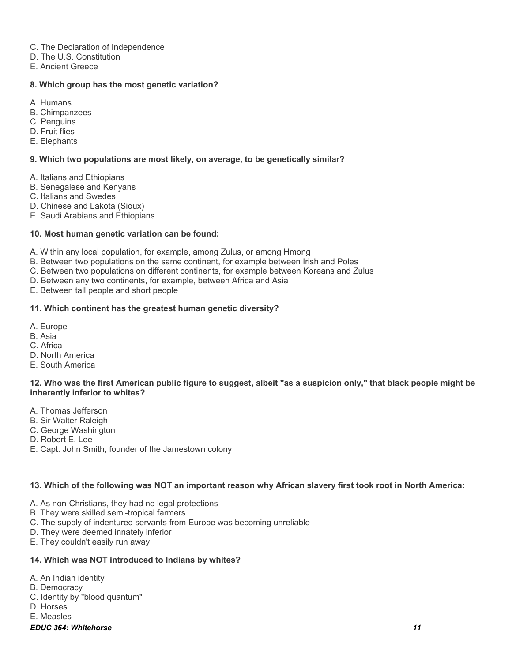- C. The Declaration of Independence
- D. The U.S. Constitution
- E. Ancient Greece

## **8. Which group has the most genetic variation?**

- A. Humans
- B. Chimpanzees
- C. Penguins
- D. Fruit flies
- E. Elephants

## **9. Which two populations are most likely, on average, to be genetically similar?**

- A. Italians and Ethiopians
- B. Senegalese and Kenyans
- C. Italians and Swedes
- D. Chinese and Lakota (Sioux)
- E. Saudi Arabians and Ethiopians

### **10. Most human genetic variation can be found:**

A. Within any local population, for example, among Zulus, or among Hmong

B. Between two populations on the same continent, for example between Irish and Poles

- C. Between two populations on different continents, for example between Koreans and Zulus
- D. Between any two continents, for example, between Africa and Asia

E. Between tall people and short people

### **11. Which continent has the greatest human genetic diversity?**

- A. Europe
- B. Asia
- C. Africa
- D. North America
- E. South America

#### **12. Who was the first American public figure to suggest, albeit "as a suspicion only," that black people might be inherently inferior to whites?**

- A. Thomas Jefferson
- B. Sir Walter Raleigh
- C. George Washington
- D. Robert E. Lee
- E. Capt. John Smith, founder of the Jamestown colony

## **13. Which of the following was NOT an important reason why African slavery first took root in North America:**

- A. As non-Christians, they had no legal protections
- B. They were skilled semi-tropical farmers
- C. The supply of indentured servants from Europe was becoming unreliable
- D. They were deemed innately inferior
- E. They couldn't easily run away

#### **14. Which was NOT introduced to Indians by whites?**

- A. An Indian identity
- B. Democracy
- C. Identity by "blood quantum"
- D. Horses
- E. Measles

#### *EDUC 364: Whitehorse 11*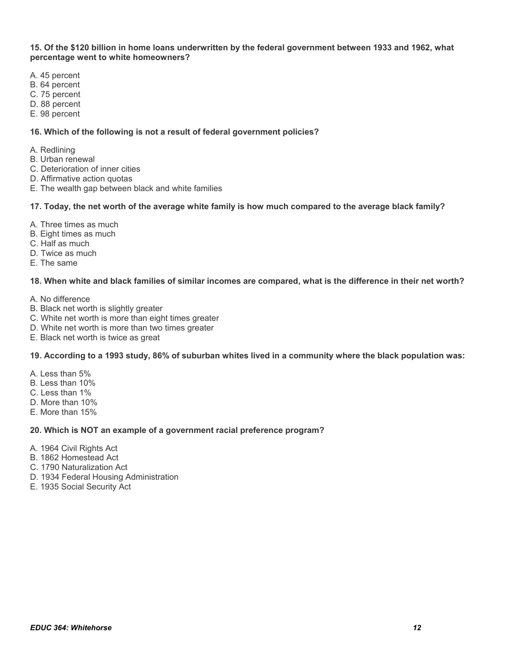**15. Of the \$120 billion in home loans underwritten by the federal government between 1933 and 1962, what percentage went to white homeowners?**

- A. 45 percent
- B. 64 percent
- C. 75 percent
- D. 88 percent
- E. 98 percent

#### **16. Which of the following is not a result of federal government policies?**

- A. Redlining
- B. Urban renewal
- C. Deterioration of inner cities
- D. Affirmative action quotas
- E. The wealth gap between black and white families

#### **17. Today, the net worth of the average white family is how much compared to the average black family?**

- A. Three times as much
- B. Eight times as much
- C. Half as much
- D. Twice as much
- E. The same

#### **18. When white and black families of similar incomes are compared, what is the difference in their net worth?**

- A. No difference
- B. Black net worth is slightly greater
- C. White net worth is more than eight times greater
- D. White net worth is more than two times greater
- E. Black net worth is twice as great

#### **19. According to a 1993 study, 86% of suburban whites lived in a community where the black population was:**

- A. Less than 5%
- B. Less than 10%
- C. Less than 1%
- D. More than 10%
- E. More than 15%

#### **20. Which is NOT an example of a government racial preference program?**

- A. 1964 Civil Rights Act
- B. 1862 Homestead Act
- C. 1790 Naturalization Act
- D. 1934 Federal Housing Administration
- E. 1935 Social Security Act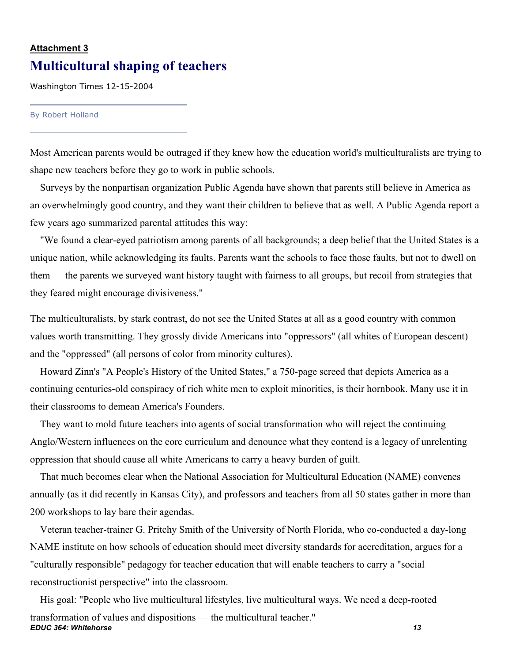# **Attachment 3 Multicultural shaping of teachers**

Washington Times 12-15-2004

#### By Robert Holland

Most American parents would be outraged if they knew how the education world's multiculturalists are trying to shape new teachers before they go to work in public schools.

 Surveys by the nonpartisan organization Public Agenda have shown that parents still believe in America as an overwhelmingly good country, and they want their children to believe that as well. A Public Agenda report a few years ago summarized parental attitudes this way:

 "We found a clear-eyed patriotism among parents of all backgrounds; a deep belief that the United States is a unique nation, while acknowledging its faults. Parents want the schools to face those faults, but not to dwell on them — the parents we surveyed want history taught with fairness to all groups, but recoil from strategies that they feared might encourage divisiveness."

The multiculturalists, by stark contrast, do not see the United States at all as a good country with common values worth transmitting. They grossly divide Americans into "oppressors" (all whites of European descent) and the "oppressed" (all persons of color from minority cultures).

 Howard Zinn's "A People's History of the United States," a 750-page screed that depicts America as a continuing centuries-old conspiracy of rich white men to exploit minorities, is their hornbook. Many use it in their classrooms to demean America's Founders.

 They want to mold future teachers into agents of social transformation who will reject the continuing Anglo/Western influences on the core curriculum and denounce what they contend is a legacy of unrelenting oppression that should cause all white Americans to carry a heavy burden of guilt.

 That much becomes clear when the National Association for Multicultural Education (NAME) convenes annually (as it did recently in Kansas City), and professors and teachers from all 50 states gather in more than 200 workshops to lay bare their agendas.

 Veteran teacher-trainer G. Pritchy Smith of the University of North Florida, who co-conducted a day-long NAME institute on how schools of education should meet diversity standards for accreditation, argues for a "culturally responsible" pedagogy for teacher education that will enable teachers to carry a "social reconstructionist perspective" into the classroom.

*EDUC 364: Whitehorse 13* His goal: "People who live multicultural lifestyles, live multicultural ways. We need a deep-rooted transformation of values and dispositions — the multicultural teacher."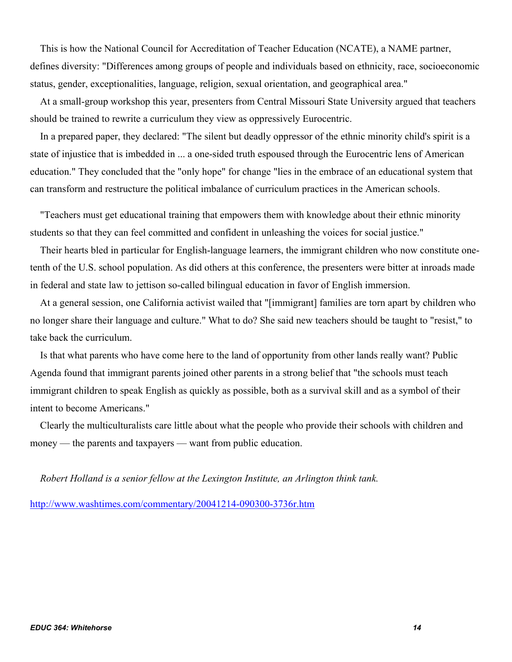This is how the National Council for Accreditation of Teacher Education (NCATE), a NAME partner, defines diversity: "Differences among groups of people and individuals based on ethnicity, race, socioeconomic status, gender, exceptionalities, language, religion, sexual orientation, and geographical area."

 At a small-group workshop this year, presenters from Central Missouri State University argued that teachers should be trained to rewrite a curriculum they view as oppressively Eurocentric.

 In a prepared paper, they declared: "The silent but deadly oppressor of the ethnic minority child's spirit is a state of injustice that is imbedded in ... a one-sided truth espoused through the Eurocentric lens of American education." They concluded that the "only hope" for change "lies in the embrace of an educational system that can transform and restructure the political imbalance of curriculum practices in the American schools.

 "Teachers must get educational training that empowers them with knowledge about their ethnic minority students so that they can feel committed and confident in unleashing the voices for social justice."

 Their hearts bled in particular for English-language learners, the immigrant children who now constitute onetenth of the U.S. school population. As did others at this conference, the presenters were bitter at inroads made in federal and state law to jettison so-called bilingual education in favor of English immersion.

 At a general session, one California activist wailed that "[immigrant] families are torn apart by children who no longer share their language and culture." What to do? She said new teachers should be taught to "resist," to take back the curriculum.

 Is that what parents who have come here to the land of opportunity from other lands really want? Public Agenda found that immigrant parents joined other parents in a strong belief that "the schools must teach immigrant children to speak English as quickly as possible, both as a survival skill and as a symbol of their intent to become Americans."

 Clearly the multiculturalists care little about what the people who provide their schools with children and money — the parents and taxpayers — want from public education.

*Robert Holland is a senior fellow at the Lexington Institute, an Arlington think tank.* 

http://www.washtimes.com/commentary/20041214-090300-3736r.htm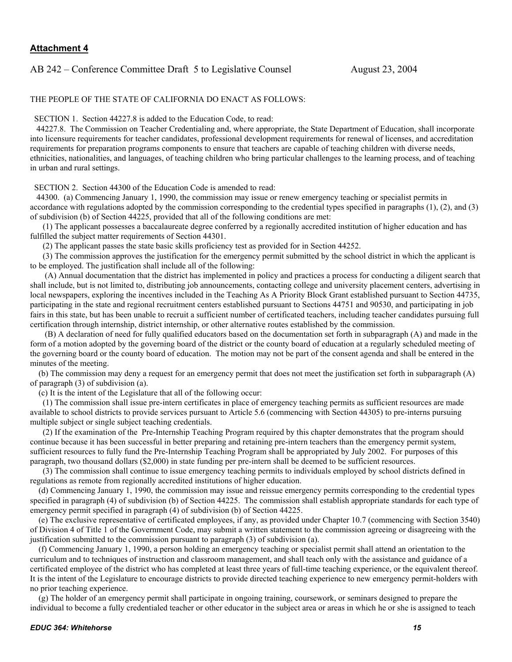## AB 242 – Conference Committee Draft 5 to Legislative Counsel August 23, 2004

#### THE PEOPLE OF THE STATE OF CALIFORNIA DO ENACT AS FOLLOWS:

SECTION 1. Section 44227.8 is added to the Education Code, to read:

 44227.8. The Commission on Teacher Credentialing and, where appropriate, the State Department of Education, shall incorporate into licensure requirements for teacher candidates, professional development requirements for renewal of licenses, and accreditation requirements for preparation programs components to ensure that teachers are capable of teaching children with diverse needs, ethnicities, nationalities, and languages, of teaching children who bring particular challenges to the learning process, and of teaching in urban and rural settings.

SECTION 2. Section 44300 of the Education Code is amended to read:

 44300. (a) Commencing January 1, 1990, the commission may issue or renew emergency teaching or specialist permits in accordance with regulations adopted by the commission corresponding to the credential types specified in paragraphs (1), (2), and (3) of subdivision (b) of Section 44225, provided that all of the following conditions are met:

 (1) The applicant possesses a baccalaureate degree conferred by a regionally accredited institution of higher education and has fulfilled the subject matter requirements of Section 44301.

(2) The applicant passes the state basic skills proficiency test as provided for in Section 44252.

 (3) The commission approves the justification for the emergency permit submitted by the school district in which the applicant is to be employed. The justification shall include all of the following:

 (A) Annual documentation that the district has implemented in policy and practices a process for conducting a diligent search that shall include, but is not limited to, distributing job announcements, contacting college and university placement centers, advertising in local newspapers, exploring the incentives included in the Teaching As A Priority Block Grant established pursuant to Section 44735, participating in the state and regional recruitment centers established pursuant to Sections 44751 and 90530, and participating in job fairs in this state, but has been unable to recruit a sufficient number of certificated teachers, including teacher candidates pursuing full certification through internship, district internship, or other alternative routes established by the commission.

 (B) A declaration of need for fully qualified educators based on the documentation set forth in subparagraph (A) and made in the form of a motion adopted by the governing board of the district or the county board of education at a regularly scheduled meeting of the governing board or the county board of education. The motion may not be part of the consent agenda and shall be entered in the minutes of the meeting.

 (b) The commission may deny a request for an emergency permit that does not meet the justification set forth in subparagraph (A) of paragraph (3) of subdivision (a).

(c) It is the intent of the Legislature that all of the following occur:

 (1) The commission shall issue pre-intern certificates in place of emergency teaching permits as sufficient resources are made available to school districts to provide services pursuant to Article 5.6 (commencing with Section 44305) to pre-interns pursuing multiple subject or single subject teaching credentials.

 (2) If the examination of the Pre-Internship Teaching Program required by this chapter demonstrates that the program should continue because it has been successful in better preparing and retaining pre-intern teachers than the emergency permit system, sufficient resources to fully fund the Pre-Internship Teaching Program shall be appropriated by July 2002. For purposes of this paragraph, two thousand dollars (\$2,000) in state funding per pre-intern shall be deemed to be sufficient resources.

 (3) The commission shall continue to issue emergency teaching permits to individuals employed by school districts defined in regulations as remote from regionally accredited institutions of higher education.

 (d) Commencing January 1, 1990, the commission may issue and reissue emergency permits corresponding to the credential types specified in paragraph (4) of subdivision (b) of Section 44225. The commission shall establish appropriate standards for each type of emergency permit specified in paragraph (4) of subdivision (b) of Section 44225.

 (e) The exclusive representative of certificated employees, if any, as provided under Chapter 10.7 (commencing with Section 3540) of Division 4 of Title 1 of the Government Code, may submit a written statement to the commission agreeing or disagreeing with the justification submitted to the commission pursuant to paragraph (3) of subdivision (a).

 (f) Commencing January 1, 1990, a person holding an emergency teaching or specialist permit shall attend an orientation to the curriculum and to techniques of instruction and classroom management, and shall teach only with the assistance and guidance of a certificated employee of the district who has completed at least three years of full-time teaching experience, or the equivalent thereof. It is the intent of the Legislature to encourage districts to provide directed teaching experience to new emergency permit-holders with no prior teaching experience.

 (g) The holder of an emergency permit shall participate in ongoing training, coursework, or seminars designed to prepare the individual to become a fully credentialed teacher or other educator in the subject area or areas in which he or she is assigned to teach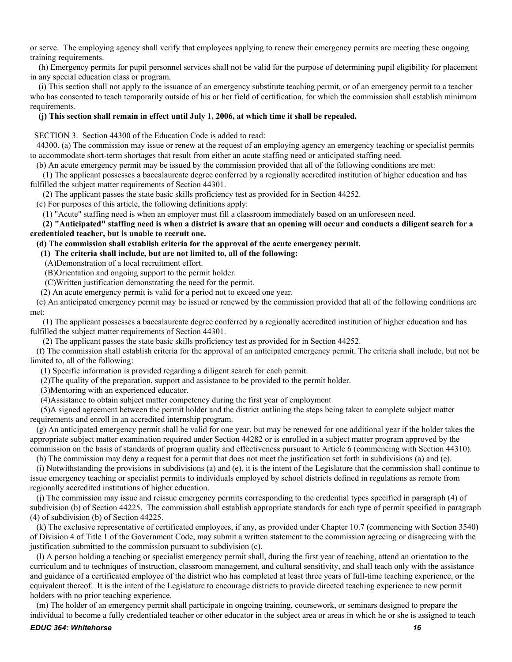or serve. The employing agency shall verify that employees applying to renew their emergency permits are meeting these ongoing training requirements.

 (h) Emergency permits for pupil personnel services shall not be valid for the purpose of determining pupil eligibility for placement in any special education class or program.

 (i) This section shall not apply to the issuance of an emergency substitute teaching permit, or of an emergency permit to a teacher who has consented to teach temporarily outside of his or her field of certification, for which the commission shall establish minimum requirements.

#### **(j) This section shall remain in effect until July 1, 2006, at which time it shall be repealed.**

SECTION 3. Section 44300 of the Education Code is added to read:

 44300. (a) The commission may issue or renew at the request of an employing agency an emergency teaching or specialist permits to accommodate short-term shortages that result from either an acute staffing need or anticipated staffing need.

(b) An acute emergency permit may be issued by the commission provided that all of the following conditions are met:

 (1) The applicant possesses a baccalaureate degree conferred by a regionally accredited institution of higher education and has fulfilled the subject matter requirements of Section 44301.

(2) The applicant passes the state basic skills proficiency test as provided for in Section 44252.

(c) For purposes of this article, the following definitions apply:

(1) "Acute" staffing need is when an employer must fill a classroom immediately based on an unforeseen need.

 **(2) "Anticipated" staffing need is when a district is aware that an opening will occur and conducts a diligent search for a credentialed teacher, but is unable to recruit one.** 

#### **(d) The commission shall establish criteria for the approval of the acute emergency permit.**

 **(1) The criteria shall include, but are not limited to, all of the following:** 

(A)Demonstration of a local recruitment effort.

(B)Orientation and ongoing support to the permit holder.

(C)Written justification demonstrating the need for the permit.

(2) An acute emergency permit is valid for a period not to exceed one year.

 (e) An anticipated emergency permit may be issued or renewed by the commission provided that all of the following conditions are met:

 (1) The applicant possesses a baccalaureate degree conferred by a regionally accredited institution of higher education and has fulfilled the subject matter requirements of Section 44301.

(2) The applicant passes the state basic skills proficiency test as provided for in Section 44252.

 (f) The commission shall establish criteria for the approval of an anticipated emergency permit. The criteria shall include, but not be limited to, all of the following:

(1) Specific information is provided regarding a diligent search for each permit.

(2)The quality of the preparation, support and assistance to be provided to the permit holder.

(3)Mentoring with an experienced educator.

(4)Assistance to obtain subject matter competency during the first year of employment

 (5)A signed agreement between the permit holder and the district outlining the steps being taken to complete subject matter requirements and enroll in an accredited internship program.

 (g) An anticipated emergency permit shall be valid for one year, but may be renewed for one additional year if the holder takes the appropriate subject matter examination required under Section 44282 or is enrolled in a subject matter program approved by the commission on the basis of standards of program quality and effectiveness pursuant to Article 6 (commencing with Section 44310).

(h) The commission may deny a request for a permit that does not meet the justification set forth in subdivisions (a) and (e).

 (i) Notwithstanding the provisions in subdivisions (a) and (e), it is the intent of the Legislature that the commission shall continue to issue emergency teaching or specialist permits to individuals employed by school districts defined in regulations as remote from regionally accredited institutions of higher education.

 (j) The commission may issue and reissue emergency permits corresponding to the credential types specified in paragraph (4) of subdivision (b) of Section 44225. The commission shall establish appropriate standards for each type of permit specified in paragraph (4) of subdivision (b) of Section 44225.

 (k) The exclusive representative of certificated employees, if any, as provided under Chapter 10.7 (commencing with Section 3540) of Division 4 of Title 1 of the Government Code, may submit a written statement to the commission agreeing or disagreeing with the justification submitted to the commission pursuant to subdivision (c).

 (l) A person holding a teaching or specialist emergency permit shall, during the first year of teaching, attend an orientation to the curriculum and to techniques of instruction, classroom management, and cultural sensitivity, and shall teach only with the assistance and guidance of a certificated employee of the district who has completed at least three years of full-time teaching experience, or the equivalent thereof. It is the intent of the Legislature to encourage districts to provide directed teaching experience to new permit holders with no prior teaching experience.

 (m) The holder of an emergency permit shall participate in ongoing training, coursework, or seminars designed to prepare the individual to become a fully credentialed teacher or other educator in the subject area or areas in which he or she is assigned to teach

#### *EDUC 364: Whitehorse 16*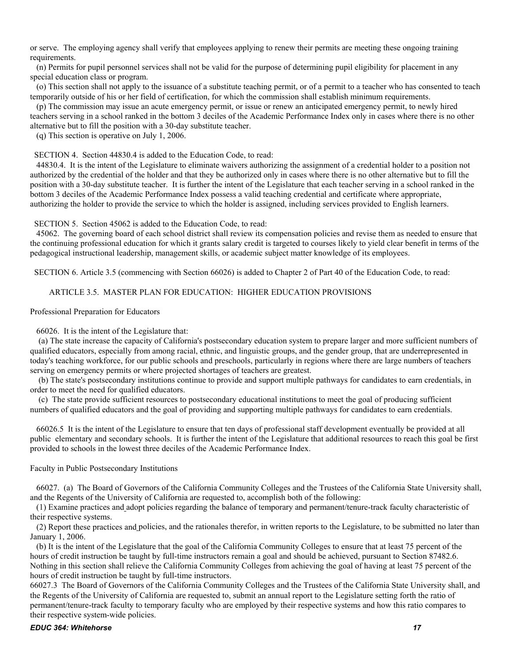or serve. The employing agency shall verify that employees applying to renew their permits are meeting these ongoing training requirements.

 (n) Permits for pupil personnel services shall not be valid for the purpose of determining pupil eligibility for placement in any special education class or program.

 (o) This section shall not apply to the issuance of a substitute teaching permit, or of a permit to a teacher who has consented to teach temporarily outside of his or her field of certification, for which the commission shall establish minimum requirements.

 (p) The commission may issue an acute emergency permit, or issue or renew an anticipated emergency permit, to newly hired teachers serving in a school ranked in the bottom 3 deciles of the Academic Performance Index only in cases where there is no other alternative but to fill the position with a 30-day substitute teacher.

(q) This section is operative on July 1, 2006.

#### SECTION 4. Section 44830.4 is added to the Education Code, to read:

 44830.4. It is the intent of the Legislature to eliminate waivers authorizing the assignment of a credential holder to a position not authorized by the credential of the holder and that they be authorized only in cases where there is no other alternative but to fill the position with a 30-day substitute teacher. It is further the intent of the Legislature that each teacher serving in a school ranked in the bottom 3 deciles of the Academic Performance Index possess a valid teaching credential and certificate where appropriate, authorizing the holder to provide the service to which the holder is assigned, including services provided to English learners.

SECTION 5. Section 45062 is added to the Education Code, to read:

 45062. The governing board of each school district shall review its compensation policies and revise them as needed to ensure that the continuing professional education for which it grants salary credit is targeted to courses likely to yield clear benefit in terms of the pedagogical instructional leadership, management skills, or academic subject matter knowledge of its employees.

SECTION 6. Article 3.5 (commencing with Section 66026) is added to Chapter 2 of Part 40 of the Education Code, to read:

#### ARTICLE 3.5. MASTER PLAN FOR EDUCATION: HIGHER EDUCATION PROVISIONS

Professional Preparation for Educators

#### 66026. It is the intent of the Legislature that:

 (a) The state increase the capacity of California's postsecondary education system to prepare larger and more sufficient numbers of qualified educators, especially from among racial, ethnic, and linguistic groups, and the gender group, that are underrepresented in today's teaching workforce, for our public schools and preschools, particularly in regions where there are large numbers of teachers serving on emergency permits or where projected shortages of teachers are greatest.

 (b) The state's postsecondary institutions continue to provide and support multiple pathways for candidates to earn credentials, in order to meet the need for qualified educators.

 (c) The state provide sufficient resources to postsecondary educational institutions to meet the goal of producing sufficient numbers of qualified educators and the goal of providing and supporting multiple pathways for candidates to earn credentials.

 66026.5 It is the intent of the Legislature to ensure that ten days of professional staff development eventually be provided at all public elementary and secondary schools. It is further the intent of the Legislature that additional resources to reach this goal be first provided to schools in the lowest three deciles of the Academic Performance Index.

#### Faculty in Public Postsecondary Institutions

 66027. (a) The Board of Governors of the California Community Colleges and the Trustees of the California State University shall, and the Regents of the University of California are requested to, accomplish both of the following:

 (1) Examine practices and adopt policies regarding the balance of temporary and permanent/tenure-track faculty characteristic of their respective systems.

 (2) Report these practices and policies, and the rationales therefor, in written reports to the Legislature, to be submitted no later than January 1, 2006.

 (b) It is the intent of the Legislature that the goal of the California Community Colleges to ensure that at least 75 percent of the hours of credit instruction be taught by full-time instructors remain a goal and should be achieved, pursuant to Section 87482.6. Nothing in this section shall relieve the California Community Colleges from achieving the goal of having at least 75 percent of the hours of credit instruction be taught by full-time instructors.

66027.3 The Board of Governors of the California Community Colleges and the Trustees of the California State University shall, and the Regents of the University of California are requested to, submit an annual report to the Legislature setting forth the ratio of permanent/tenure-track faculty to temporary faculty who are employed by their respective systems and how this ratio compares to their respective system-wide policies.

#### *EDUC 364: Whitehorse 17*